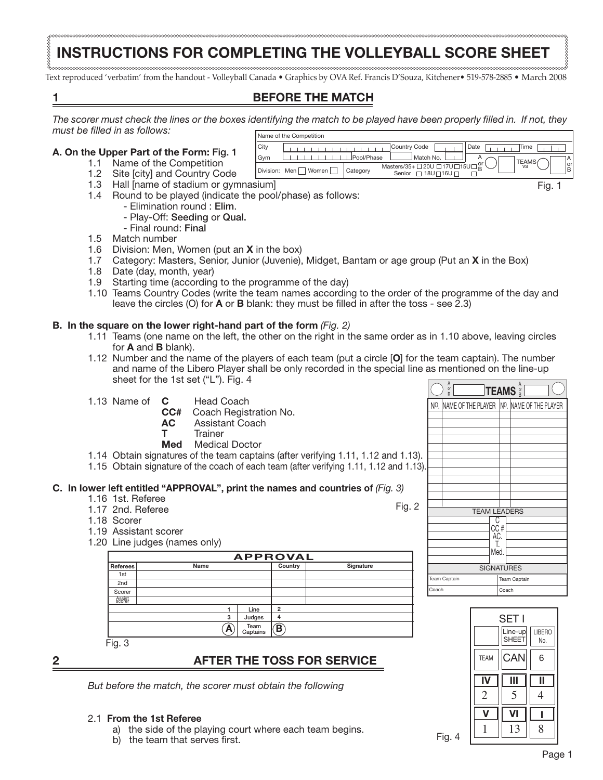# **INSTRUCTIONS FOR COMPLETING THE VOLLEYBALL SCORE SHEET**

Text reproduced 'verbatim' from the handout - Volleyball Canada • Graphics by OVA Ref. Francis D'Souza, Kitchener• 519-578-2885 • March 2008

# **1 BEFORE THE MATCH**

*The scorer must check the lines or the boxes identifying the match to be played have been properly filled in. If not, they must be filled in as follows:*

### **A. On the Upper Part of the Form:** Fig. 1

- 1.1 Name of the Competition
- 1.2 Site [city] and Country Code
- 1.3 Hall [name of stadium or gymnasium]
- 1.4 Round to be played (indicate the pool/phase) as follows:
	- Elimination round : Elim.
		- Play-Off: Seeding or Qual.
	- Final round: Final
- 1.5 Match number
- 1.6 Division: Men, Women (put an **X** in the box)
- 1.7 Category: Masters, Senior, Junior (Juvenie), Midget, Bantam or age group (Put an **X** in the Box)
- 1.8 Date (day, month, year)
- 1.9 Starting time (according to the programme of the day)
- 1.10 Teams Country Codes (write the team names according to the order of the programme of the day and leave the circles (O) for **A** or **B** blank: they must be filled in after the toss - see 2.3)

#### **B. In the square on the lower right-hand part of the form** *(Fig. 2)*

- 1.11 Teams (one name on the left, the other on the right in the same order as in 1.10 above, leaving circles for **A** and **B** blank).
- 1.12 Number and the name of the players of each team (put a circle [**O**] for the team captain). The number and name of the Libero Player shall be only recorded in the special line as mentioned on the line-up sheet for the 1st set ("L"). Fig. 4 A

|  | 1.13 Name of $\,$ C |  | <b>Head Coach</b> |
|--|---------------------|--|-------------------|
|  |                     |  |                   |

- **CC#** Coach Registration No.
- **Assistant Coach**
- **T** Trainer
- **Med** Medical Doctor
- 1.14 Obtain signatures of the team captains (after verifying 1.11, 1.12 and 1.13).
- 1.15 Obtain signature of the coach of each team (after verifying 1.11, 1.12 and 1.13).

#### **C. In lower left entitled "APPROVAL", print the names and countries of** *(Fig. 3)*

- 1.16 1st. Referee
- 1.17 2nd. Referee
- 1.18 Scorer



1.20 Line judges (names only)

|                  | <b>APPROVAL</b> |                  |         |           |  |  |  |  |  |  |  |  |  |  |  |
|------------------|-----------------|------------------|---------|-----------|--|--|--|--|--|--|--|--|--|--|--|
| <b>Referees</b>  | Name            |                  | Country | Signature |  |  |  |  |  |  |  |  |  |  |  |
| 1st              |                 |                  |         |           |  |  |  |  |  |  |  |  |  |  |  |
| 2 <sub>nd</sub>  |                 |                  |         |           |  |  |  |  |  |  |  |  |  |  |  |
| Scorer           |                 |                  |         |           |  |  |  |  |  |  |  |  |  |  |  |
| Assist<br>scorer |                 |                  |         |           |  |  |  |  |  |  |  |  |  |  |  |
|                  |                 | Line             | 2       |           |  |  |  |  |  |  |  |  |  |  |  |
|                  | 3               | Judges           | 4       |           |  |  |  |  |  |  |  |  |  |  |  |
|                  | А               | Team<br>Captains | B       |           |  |  |  |  |  |  |  |  |  |  |  |
| Fig. 3           |                 |                  |         |           |  |  |  |  |  |  |  |  |  |  |  |

# **2 AFTER THE TOSS FOR SERVICE**

*But before the match, the scorer must obtain the following* 

#### 2.1 **From the 1st Referee**

- a) the side of the playing court where each team begins.
- b) the team that serves first.

|               | Name of the Competition |            |                                                                       |              |  |
|---------------|-------------------------|------------|-----------------------------------------------------------------------|--------------|--|
| City          |                         |            | Country Code                                                          | Date<br>Time |  |
| Gym           |                         | Pool/Phase | <sup>1</sup> Match No.                                                | <b>TEAMS</b> |  |
| Division: Men | Women                   | Category   | Masters/35+ 20U 217U 215U 2<br>$\Box$ 18U $\Box$ 16U $\Box$<br>Senior | <b>VS</b>    |  |

Fig. 4

.<br>Peam Cantain .<br>Coach

Fig. 2

Fig. 1

A or B

NO. NAME OF THE PLAYER NO. NAME OF THE PLAYER **TEAMS** 

B

C CC # AC. T. Med.

SIGNATI IRES

Team Captain Coach

SET I Line-up SHEET team ||CAN|| 6

**V VI I**

 $1 \parallel 13 \parallel 8$ 

**IV III II** 2 || 5 || 4

LIBERO No.

TEAM LEADERS

or B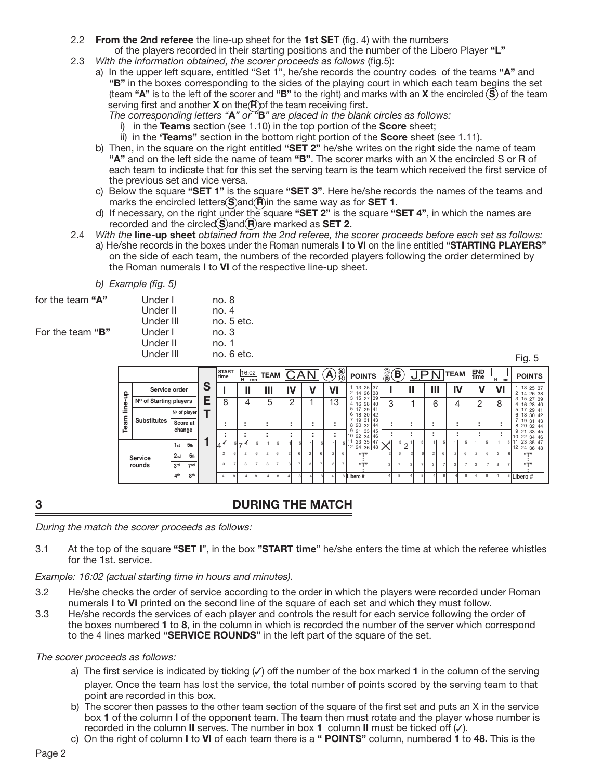- 2.2 **From the 2nd referee** the line-up sheet for the **1st SET** (fig. 4) with the numbers of the players recorded in their starting positions and the number of the Libero Player **"L"**
- 2.3 *With the information obtained, the scorer proceeds as follows* (fig.5):
	- a) In the upper left square, entitled "Set 1", he/she records the country codes of the teams **"A"** and **"B"** in the boxes corresponding to the sides of the playing court in which each team begins the set (team **"A"** is to the left of the scorer and **"B"** to the right) and marks with an **X** the encircled **S** of the team serving first and another **X** on the **R** of the team receiving first.
		- *The corresponding letters "***A***" or "***B***" are placed in the blank circles as follows:*
			- i) in the **Teams** section (see 1.10) in the top portion of the **Score** sheet;
			- ii) in the **'Teams"** section in the bottom right portion of the **Score** sheet (see 1.11).
	- b) Then, in the square on the right entitled **"SET 2"** he/she writes on the right side the name of team  **"A"** and on the left side the name of team **"B"**. The scorer marks with an X the encircled S or R of each team to indicate that for this set the serving team is the team which received the first service of the previous set and vice versa.
	- c) Below the square **"SET 1"** is the square **"SET 3"**. Here he/she records the names of the teams and marks the encircled letters **S** and **R** in the same way as for **SET 1**.
	- d) If necessary, on the right under the square **"SET 2"** is the square **"SET 4"**, in which the names are recorded and the circled **S**) and **R** are marked as **SET 2.**
- 2.4 *With the* **line-up sheet** *obtained from the 2nd referee, the scorer proceeds before each set as follows:* a) He/she records in the boxes under the Roman numerals **I** to **VI** on the line entitled **"STARTING PLAYERS"**
	- on the side of each team, the numbers of the recorded players following the order determined by the Roman numerals **I** to **VI** of the respective line-up sheet.

| b) Example (fig. 5) |
|---------------------|
|---------------------|

| for the team "A" | Under I |
|------------------|---------|
|                  | Under I |

For the team "B" Under

| Under I   | no. 8        |
|-----------|--------------|
| Under II  | no. 4        |
| Under III | no. $5$ etc. |
| Under I   | no. 3        |
| Under II  | no. 1        |
| Under III | no. 6 etc.   |
|           |              |

Fig. 5

|        |                        |                 |                 |   | <b>START</b><br>time |   | н                             | mn |                          | $\frac{16:02}{n}$ TEAM $CAN$ |                          |    |        | ${\bf A}$      | $\circledR$ | <b>POINTS</b>                          | $\frac{\circledR}{\circledR}$ | B  |   | IJP |               |   | <b>TEAM</b>    | END<br>time |    | н              | mn | <b>POINTS</b>                                                                         |
|--------|------------------------|-----------------|-----------------|---|----------------------|---|-------------------------------|----|--------------------------|------------------------------|--------------------------|----|--------|----------------|-------------|----------------------------------------|-------------------------------|----|---|-----|---------------|---|----------------|-------------|----|----------------|----|---------------------------------------------------------------------------------------|
| 읔      | Service order          |                 |                 | S |                      |   | ш                             |    | Ш                        |                              | IV                       |    |        | VI             |             | 13 25 37   <br>2 14 26 38              |                               |    |   |     | Ш             |   |                |             |    | VI             |    | $\frac{1}{2}$ $\begin{array}{ c c c } \hline 1 & 25 & 37 \\ 14 & 26 & 38 \end{array}$ |
| line-l | Nº of Starting players |                 |                 | c | 8                    |   | 4                             |    | 5                        |                              |                          | っ  |        | 13             |             | 3 15 27 39<br>4 16 28 40               | 3                             |    |   |     | 6             |   |                | $\Omega$    |    | 8              |    | 3 15 27 39<br>4 16 28 40                                                              |
|        |                        |                 | N∘ of player    |   |                      |   |                               |    |                          |                              |                          |    |        |                |             | 5 17 29 41 <br>6 18 30 42              |                               |    |   |     |               |   |                |             |    |                |    | 17 29 41<br>5 <sub>1</sub><br>6 18 30 42                                              |
| Team   | <b>Substitutes</b>     | Score at        |                 |   |                      |   | $\overline{\phantom{a}}$      |    |                          |                              | $\overline{\phantom{a}}$ |    | ٠      |                |             | '   19   31   43   <br>8 20<br>32   44 | ٠<br>٠                        |    |   |     |               |   | ٠              |             |    |                |    | 7 19 31 43<br>8 20 32 44                                                              |
|        |                        | change          |                 |   |                      |   | ٠<br>$\overline{\phantom{a}}$ |    | $\overline{\phantom{a}}$ |                              | $\overline{\phantom{a}}$ |    |        |                |             | 9 21 33 45 <br>10 22 34 46             |                               |    |   |     |               |   | ٠              |             |    |                |    | 9 21 33 45<br>$\frac{10}{5}$ 11 22 34 46                                              |
|        |                        | 1st             | 5 <sub>th</sub> |   |                      |   | ⇁                             |    |                          |                              |                          |    |        |                |             | $23 35 47 \n\cdot$<br>12 24 36 48 $X$  |                               | 5  | 2 |     |               | 5 |                |             | -5 |                |    | 12 24 36 48                                                                           |
|        | <b>Service</b>         | 2 <sub>nd</sub> | 6 <sub>th</sub> |   | $\sim$               |   | $\mathfrak{p}$                | 61 |                          | 6                            |                          | ĥ. | $\sim$ | $\mathfrak{p}$ |             | 55733                                  | $\circ$                       | Ŕ. |   |     | $\mathcal{L}$ | 6 | $\mathfrak{p}$ |             | ĥ  | $\mathfrak{p}$ |    | 65733                                                                                 |
|        | rounds                 | 3 <sup>rd</sup> | 7 <sub>nd</sub> |   | 3                    |   | 3                             |    | 3                        |                              |                          | ٠  |        | $\mathbf{3}$   |             | i(T)                                   | $\mathcal{B}$                 |    | з |     | $\mathbf{3}$  |   | 3              | 3           |    | $\mathbf{a}$   |    | 6T                                                                                    |
|        |                        | 4 <sup>th</sup> | 8 <sup>th</sup> |   |                      | я |                               | R  |                          |                              |                          | 8  |        |                |             | <sup>8</sup> Libero #                  |                               | R  |   | я   |               | ç |                |             | 8  | $\overline{a}$ |    | <sup>8</sup> Libero #                                                                 |

## **3 DURING THE MATCH**

During the match the scorer proceeds as follows:

3.1 At the top of the square **"SET I**", in the box **"START time**" he/she enters the time at which the referee whistles for the 1st. service.

*Example:* 16:02 (actual starting time in hours and minutes).

- 3.2 He/she checks the order of service according to the order in which the players were recorded under Roman numerals **I** to **VI** printed on the second line of the square of each set and which they must follow.
- 3.3 He/she records the services of each player and controls the result for each service following the order of the boxes numbered **1** to **8**, in the column in which is recorded the number of the server which correspond to the 4 lines marked **"SERVICE ROUNDS"** in the left part of the square of the set.

#### The scorer proceeds as follows:

- a) The first service is indicated by ticking ( $\checkmark$ ) off the number of the box marked **1** in the column of the serving player. Once the team has lost the service, the total number of points scored by the serving team to that point are recorded in this box.
- b) The scorer then passes to the other team section of the square of the first set and puts an X in the service box **1** of the column **I** of the opponent team. The team then must rotate and the player whose number is recorded in the column **II** serves. The number in box **1** column **II** must be ticked off  $(\checkmark)$ .
- c) On the right of column **I** to **VI** of each team there is a **" POINTS"** column, numbered **1** to **48.** This is the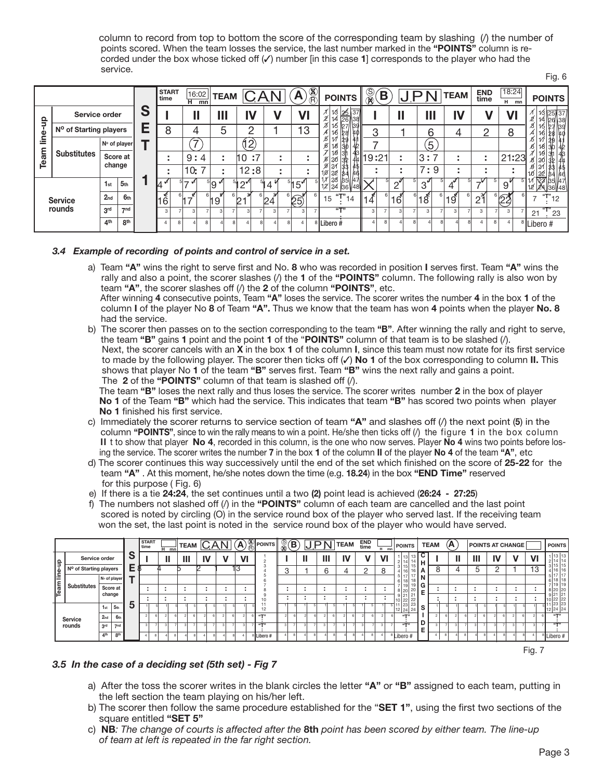column to record from top to bottom the score of the corresponding team by slashing (/) the number of points scored. When the team losses the service, the last number marked in the **"POINTS"** column is re corded under the box whose ticked off  $(V)$  number [in this case 1] corresponds to the player who had the service. Fig. 6

|               |                                    |                 |                 |   | <b>START</b><br>time |              | 16:02<br>$H$ mn | <b>TEAM</b>         |    |      | <b>LAN</b>   |           | Α               | $\circledR$           | <b>POINTS</b>                      | $\frac{\mathbb{S}}{\mathbb{R}}$ | $\mathbf{\hat{B}}$ |                     | <u>,J P</u>    |     | <b>TEAM</b>     | END<br>time         |  | 18:24<br>н. | mn                    |    |                             | <b>POINTS</b>            |
|---------------|------------------------------------|-----------------|-----------------|---|----------------------|--------------|-----------------|---------------------|----|------|--------------|-----------|-----------------|-----------------------|------------------------------------|---------------------------------|--------------------|---------------------|----------------|-----|-----------------|---------------------|--|-------------|-----------------------|----|-----------------------------|--------------------------|
| $\frac{1}{2}$ | Service order                      |                 |                 | S |                      |              |                 | Ш                   |    | IV   | V            |           | VI              |                       | $\frac{13}{14}$ $\frac{26}{26}$ 37 |                                 |                    |                     |                | Ш   | IV              |                     |  | VI          |                       |    |                             | 25 37<br>126138          |
| <u>e</u>      | N <sup>o</sup> of Starting players |                 |                 | Е | О<br>Ω               |              |                 | 5                   |    | റ    |              |           | 13              |                       | 15<br>16<br>128                    | 3                               |                    |                     |                | 6   | 4               | n                   |  | 8           |                       |    |                             |                          |
|               |                                    |                 | No of player    |   |                      |              | $\overline{ }$  |                     |    | (12) |              |           |                 |                       | 29<br>18<br>130                    |                                 |                    |                     |                | 5   |                 |                     |  |             |                       |    |                             |                          |
| am<br>ق       | <b>Substitutes</b>                 | Score at        |                 |   |                      |              | 9:4             | ٠<br>$\blacksquare$ | 10 | :7   |              | <b>м.</b> |                 |                       | 18<br>3f<br>43<br> 32<br>8   20    | 74∥19:21                        |                    |                     | 3:             |     | ٠<br>٠          | ٠<br>$\blacksquare$ |  | 21:23       |                       |    | 19                          |                          |
|               |                                    | change          |                 |   |                      |              | 10:             |                     |    | 12:8 |              |           |                 |                       | 22<br>184                          |                                 |                    |                     |                | 7:9 |                 | ٠                   |  |             |                       |    |                             |                          |
|               |                                    | 1 <sub>st</sub> | 5 <sub>th</sub> |   | 14"                  |              |                 | <sup>၂</sup> ၅      |    |      | 4            |           | 15 <sup>7</sup> |                       | 17 23 35 47<br>12 24 36 48         |                                 |                    | $\cap^{\mathsf{v}}$ | 3'             |     | 4               |                     |  | 9           |                       | 12 | 12 <sup>2</sup> 4           | হিৰ্মীβ9  47<br>://36V48 |
|               | <b>Service</b>                     | 2 <sub>nd</sub> | 6 <sub>th</sub> |   | 16 <sup>6</sup>      |              | $\overline{z}$  | $^6$ 19 .           | 6  |      | $\degree$ 24 |           | $\degree$ (25)  |                       | $T''_{14}$<br>15                   | 4                               |                    | 16                  | $18^{\degree}$ | 6   | 19 <sup>2</sup> | $2^{2}$             |  | 23          |                       |    |                             | ้12                      |
|               | rounds                             | 3 <sup>rd</sup> | $-$ nd          |   | 3                    |              | 3               |                     |    |      |              |           |                 |                       | 55733                              | 3                               |                    |                     | 3              |     | 3               | 3                   |  | 3           |                       |    | $21 \nightharpoonup^{T} 23$ |                          |
|               |                                    | 8 <sup>th</sup> |                 |   | R                    | $\mathbf{R}$ |                 | R                   |    |      |              |           |                 | <sup>8</sup> Libero # |                                    |                                 |                    |                     |                |     |                 | 8                   |  |             | <sup>8</sup> Libero # |    |                             |                          |

#### *3.4 Example of recording of points and control of service in a set.*

a) Team **"A"** wins the right to serve first and No. **8** who was recorded in position **I** serves first. Team **"A"** wins the rally and also a point, the scorer slashes (/) the **1** of the **"POINTS"** column. The following rally is also won by team **"A"**, the scorer slashes off (/) the **2** of the column **"POINTS"**, etc. After winning **4** consecutive points, Team **"A"** loses the service. The scorer writes the number **4** in the box **1** of the

 column **I** of the player No **8** of Team **"A".** Thus we know that the team has won **4** points when the player **No. 8** had the service.

b) The scorer then passes on to the section corresponding to the team **"B"**. After winning the rally and right to serve, the team **"B"** gains **1** point and the point **1** of the "**POINTS"** column of that team is to be slashed (/). Next, the scorer cancels with an **X** in the box **1** of the column **I**, since this team must now rotate for its first service to made by the following player. The scorer then ticks off ( $\checkmark$ ) No 1 of the box corresponding to column II. This shows that player No **1** of the team **"B"** serves first. Team **"B"** wins the next rally and gains a point. The **2** of the **"POINTS"** column of that team is slashed off (/).

 The team **"B"** loses the next rally and thus loses the service. The scorer writes number **2** in the box of player **No 1** of the Team **"B"** which had the service. This indicates that team **"B"** has scored two points when player **No 1** finished his first service.

- c) Immediately the scorer returns to service section of team **"A"** and slashes off (/) the next point (**5**) in the column **"POINTS"**, since to win the rally means to win a point. He/she then ticks off (/) the figure **1** in the box column **II** t to show that player **No 4**, recorded in this column, is the one who now serves. Player **No 4** wins two points before los ing the service. The scorer writes the number **7** in the box **1** of the column **II** of the player **No 4** of the team **"A"**, etc
- d) The scorer continues this way successively until the end of the set which finished on the score of **25-22** for the team **"A"** . At this moment, he/she notes down the time (e.g. **18.24**) in the box **"END Time"** reserved for this purpose ( Fig. 6)
- e) If there is a tie **24:24**, the set continues until a two **(2)** point lead is achieved (**26:24 27:25**)
- f) The numbers not slashed off (/) in the **"POINTS"** column of each team are cancelled and the last point scored is noted by circling (O) in the service round box of the player who served last. If the receiving team won the set, the last point is noted in the service round box of the player who would have served.

|       |                        |                 |                 |   | <b>START</b><br>time |   | $H$ mn | <b>TEAM</b> | <b>CAN</b> |  |     | $\mathbf{A}$ | $\frac{\%}{\%}$ POINTS | କ୍ତି<br>ଭ | $\bf \bf B$ |   | <b>JPN</b> |     | <b>TEAM</b> | END<br>time | $H$ mn       |                       | <b>POINTS</b>                                                                               |                                             | <b>TEAM</b> |   | (A |   |   |    | <b>POINTS AT CHANGE</b> |    | <b>POINTS</b>              |
|-------|------------------------|-----------------|-----------------|---|----------------------|---|--------|-------------|------------|--|-----|--------------|------------------------|-----------|-------------|---|------------|-----|-------------|-------------|--------------|-----------------------|---------------------------------------------------------------------------------------------|---------------------------------------------|-------------|---|----|---|---|----|-------------------------|----|----------------------------|
| ŝ     | Service order          |                 |                 | S |                      |   |        | Ш           | IV         |  |     | VI           |                        |           |             | ш |            | Ш   | IV          |             | $\mathsf{V}$ |                       | 13<br> 13 <br>2 14                                                                          | 4!4H                                        |             |   |    | н | Ш | I١ |                         | VI | 1 13 13<br>2 14            |
| line- | Nº of Starting players |                 |                 | E |                      |   |        |             |            |  | lv. |              |                        | 3         |             |   |            | ี่ค |             |             | 8            |                       | 15<br>4 16                                                                                  | 16   A                                      |             | o |    |   |   |    |                         | 13 | 3 15 15                    |
|       |                        |                 | No of player    |   |                      |   |        |             |            |  |     |              |                        |           |             |   |            |     |             |             |              | 5 17                  | 17<br>6 18                                                                                  | $\begin{bmatrix} 1/2 \\ 18 \end{bmatrix}$ N |             |   |    |   |   |    |                         |    | 5 17<br>' 11<br>6 18 18    |
| Team  | <b>Substitutes</b>     | Score at        |                 |   |                      |   | ٠      |             | ٠          |  |     |              |                        |           |             |   |            |     |             |             |              | 8 20                  | ' 119<br>20                                                                                 | 19 G<br>Е                                   |             |   |    |   |   |    |                         |    | 7 19 19<br>8 20 20         |
|       |                        | change          |                 |   |                      |   |        |             | ٠          |  |     |              |                        |           |             |   |            |     |             |             |              | 9 21                  | 21                                                                                          |                                             |             |   |    |   | ٠ |    |                         |    | 9 21<br>$ 2 -$<br>10 22 22 |
|       |                        | 1 <sub>st</sub> | 5 <sub>th</sub> | 5 |                      |   |        |             |            |  |     |              | 12                     |           |             |   |            |     |             |             |              |                       | $\begin{array}{ c c c }\n\hline\n10 & 22 & 22 \\ 11 & 23 & 23 \\ 12 & 24 & 24\n\end{array}$ | . S                                         |             |   |    |   |   |    |                         |    | 12 24 24                   |
|       | Service                | 2 <sub>nd</sub> | 6 <sub>th</sub> |   | ø                    | 6 |        |             |            |  |     |              | 55733                  |           |             |   |            |     |             |             |              |                       | (4773)                                                                                      |                                             |             |   |    |   |   |    |                         |    | (47)                       |
|       | rounds                 | 3 <sup>rd</sup> | 700             |   | $\mathbf{\hat{z}}$   |   |        | ٩           |            |  |     |              | 6T                     |           |             |   |            |     |             |             |              |                       | $65 - 33$                                                                                   | Е                                           |             |   |    |   |   |    |                         |    | (57)                       |
|       |                        | 4 <sup>th</sup> | 8 <sup>th</sup> |   |                      |   |        |             |            |  |     |              | Libero#                |           |             |   |            |     |             |             |              | <sup>3</sup> Libero # |                                                                                             |                                             |             |   |    |   |   |    |                         |    | <sup>8</sup> Libero #      |

Fig. 7

#### *3.5 In the case of a deciding set (5th set) - Fig 7*

- a) After the toss the scorer writes in the blank circles the letter **"A"** or **"B"** assigned to each team, putting in the left section the team playing on his/her left.
- b) The scorer then follow the same procedure established for the "**SET 1"**, using the first two sections of the square entitled **"SET 5"**
- c) **NB***: The change of courts is affected after the* **8th** *point has been scored by either team. The line-up of team at left is repeated in the far right section.*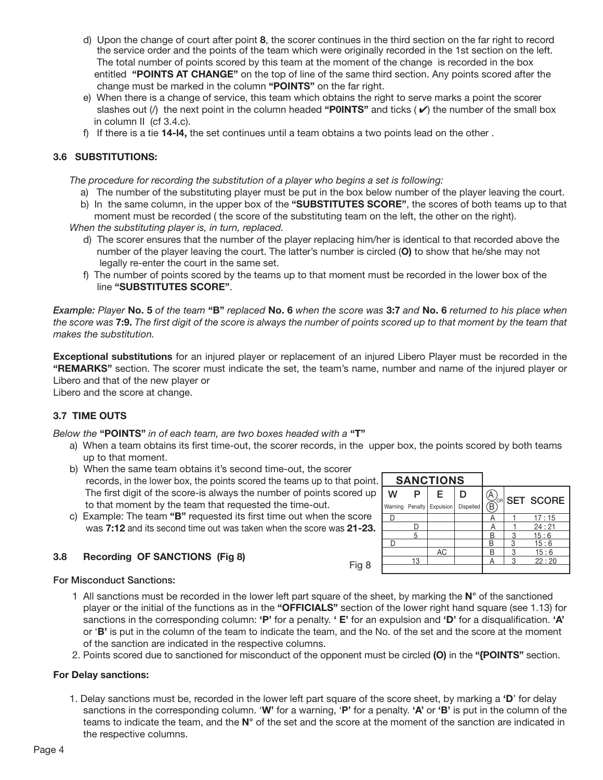- d) Upon the change of court after point **8**, the scorer continues in the third section on the far right to record the service order and the points of the team which were originally recorded in the 1st section on the left. The total number of points scored by this team at the moment of the change is recorded in the box entitled **"POINTS AT CHANGE"** on the top of line of the same third section. Any points scored after the change must be marked in the column **"POINTS"** on the far right.
- e) When there is a change of service, this team which obtains the right to serve marks a point the scorer slashes out  $\ell$ ) the next point in the column headed "**POINTS**" and ticks  $(\nu)$  the number of the small box in column II (cf 3.4.c).
- f) If there is a tie **14-l4,** the set continues until a team obtains a two points lead on the other .

#### **3.6 SUBSTITUTIONS:**

 *The procedure for recording the substitution of a player who begins a set is following:*

- a) The number of the substituting player must be put in the box below number of the player leaving the court.
- b) In the same column, in the upper box of the **"SUBSTITUTES SCORE"**, the scores of both teams up to that
- moment must be recorded ( the score of the substituting team on the left, the other on the right).  *When the substituting player is, in turn, replaced.*
	- d) The scorer ensures that the number of the player replacing him/her is identical to that recorded above the number of the player leaving the court. The latter's number is circled (**O)** to show that he/she may not legally re-enter the court in the same set.
	- f) The number of points scored by the teams up to that moment must be recorded in the lower box of the line **"SUBSTITUTES SCORE"**.

*Example: Player* **No. 5** *of the team* **"B"** *replaced* **No. 6** *when the score was* **3:7** *and* **No. 6** *returned to his place when the score was* **7:9.** *The first digit of the score is always the number of points scored up to that moment by the team that makes the substitution.*

**Exceptional substitutions** for an injured player or replacement of an injured Libero Player must be recorded in the **"REMARKS"** section. The scorer must indicate the set, the team's name, number and name of the injured player or Libero and that of the new player or

Libero and the score at change.

#### **3.7 TIME OUTS**

*Below the* **"POINTS"** *in of each team, are two boxes headed with a* **"T"**

- a) When a team obtains its first time-out, the scorer records, in the upper box, the points scored by both teams up to that moment.
- b) When the same team obtains it's second time-out, the scorer records, in the lower box, the points scored the teams up to that point. **SANCTIONS**  The first digit of the score-is always the number of points scored up to that moment by the team that requested the time-out.
	- c) Example: The team **"B"** requested its first time out when the score was **7:12** and its second time out was taken when the score was **21-23.**

#### **3.8 Recording OF SANCTIONS (Fig 8)**

|   |    | <b>SANGTIONS</b>            |           |                          |   |                       |
|---|----|-----------------------------|-----------|--------------------------|---|-----------------------|
| w | P  | Е                           | D         |                          |   | <b>AVOR SET SCORE</b> |
|   |    | Warning Penalty   Expulsion | Dispelled | $\widetilde{\mathsf{B}}$ |   |                       |
|   |    |                             |           |                          |   | 17:15                 |
|   |    |                             |           | А                        |   | 24:21                 |
|   | 5  |                             |           | R                        | 3 | 15:6                  |
| D |    |                             |           | В                        | 3 | 15:6                  |
|   |    | AC                          |           | R                        | 3 | 15:6                  |
|   | 13 |                             |           |                          | ঽ | 22:20                 |
|   |    |                             |           |                          |   |                       |

#### For Misconduct Sanctions:

- 1 All sanctions must be recorded in the lower left part square of the sheet, by marking the **N°** of the sanctioned player or the initial of the functions as in the **"OFFICIALS"** section of the lower right hand square (see 1.13) for sanctions in the corresponding column: **'P'** for a penalty. **' E'** for an expulsion and **'D'** for a disqualification. **'A'** or '**B'** is put in the column of the team to indicate the team, and the No. of the set and the score at the moment of the sanction are indicated in the respective columns.
- 2. Points scored due to sanctioned for misconduct of the opponent must be circled **(O)** in the **"{POINTS"** section.

#### **For Delay sanctions:**

 1. Delay sanctions must be, recorded in the lower left part square of the score sheet, by marking a **'D**' for delay sanctions in the corresponding column. '**W'** for a warning, '**P'** for a penalty. **'A'** or **'B'** is put in the column of the teams to indicate the team, and the **N°** of the set and the score at the moment of the sanction are indicated in the respective columns.